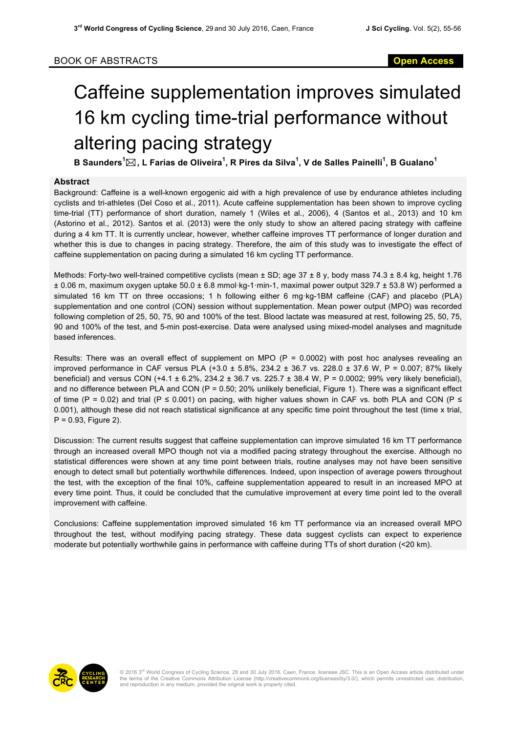## Caffeine supplementation improves simulated 16 km cycling time-trial performance without altering pacing strategy

**B Saunders<sup>1</sup>** \***, L Farias de Oliveira<sup>1</sup> , R Pires da Silva<sup>1</sup> , V de Salles Painelli<sup>1</sup> , B Gualano<sup>1</sup>**

## **Abstract**

Background: Caffeine is a well-known ergogenic aid with a high prevalence of use by endurance athletes including cyclists and tri-athletes (Del Coso et al., 2011). Acute caffeine supplementation has been shown to improve cycling time-trial (TT) performance of short duration, namely 1 (Wiles et al., 2006), 4 (Santos et al., 2013) and 10 km (Astorino et al., 2012). Santos et al. (2013) were the only study to show an altered pacing strategy with caffeine during a 4 km TT. It is currently unclear, however, whether caffeine improves TT performance of longer duration and whether this is due to changes in pacing strategy. Therefore, the aim of this study was to investigate the effect of caffeine supplementation on pacing during a simulated 16 km cycling TT performance.

Methods: Forty-two well-trained competitive cyclists (mean  $\pm$  SD; age 37  $\pm$  8 y, body mass 74.3  $\pm$  8.4 kg, height 1.76 ± 0.06 m, maximum oxygen uptake 50.0 ± 6.8 mmol·kg-1·min-1, maximal power output 329.7 ± 53.8 W) performed a simulated 16 km TT on three occasions; 1 h following either 6 mg·kg-1BM caffeine (CAF) and placebo (PLA) supplementation and one control (CON) session without supplementation. Mean power output (MPO) was recorded following completion of 25, 50, 75, 90 and 100% of the test. Blood lactate was measured at rest, following 25, 50, 75, 90 and 100% of the test, and 5-min post-exercise. Data were analysed using mixed-model analyses and magnitude based inferences.

Results: There was an overall effect of supplement on MPO ( $P = 0.0002$ ) with post hoc analyses revealing an improved performance in CAF versus PLA  $(+3.0 \pm 5.8\%$ ,  $234.2 \pm 36.7$  vs. 228.0  $\pm 37.6$  W, P = 0.007; 87% likely beneficial) and versus CON  $(+4.1 \pm 6.2\% , 234.2 \pm 36.7 )$  vs. 225.7  $\pm$  38.4 W, P = 0.0002; 99% very likely beneficial), and no difference between PLA and CON (P = 0.50; 20% unlikely beneficial, Figure 1). There was a significant effect of time (P = 0.02) and trial (P  $\leq$  0.001) on pacing, with higher values shown in CAF vs. both PLA and CON (P  $\leq$ 0.001), although these did not reach statistical significance at any specific time point throughout the test (time x trial, P = 0.93, Figure 2).

Discussion: The current results suggest that caffeine supplementation can improve simulated 16 km TT performance through an increased overall MPO though not via a modified pacing strategy throughout the exercise. Although no statistical differences were shown at any time point between trials, routine analyses may not have been sensitive enough to detect small but potentially worthwhile differences. Indeed, upon inspection of average powers throughout the test, with the exception of the final 10%, caffeine supplementation appeared to result in an increased MPO at every time point. Thus, it could be concluded that the cumulative improvement at every time point led to the overall improvement with caffeine.

Conclusions: Caffeine supplementation improved simulated 16 km TT performance via an increased overall MPO throughout the test, without modifying pacing strategy. These data suggest cyclists can expect to experience moderate but potentially worthwhile gains in performance with caffeine during TTs of short duration (<20 km).